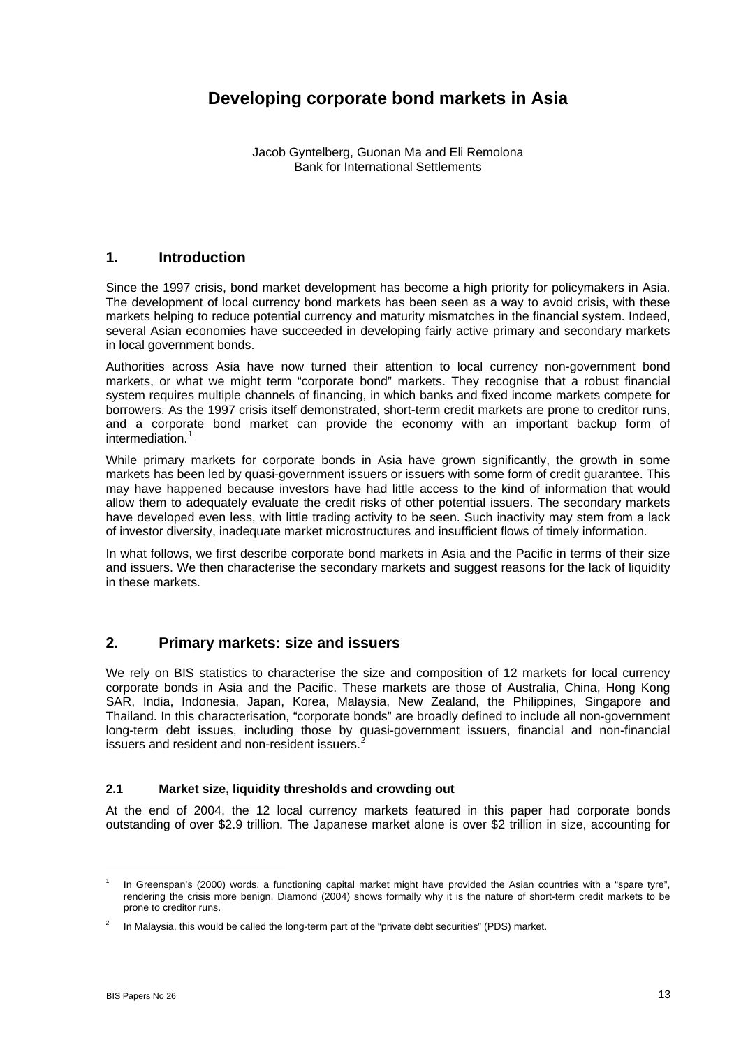Jacob Gyntelberg, Guonan Ma and Eli Remolona Bank for International Settlements

### **1. Introduction**

Since the 1997 crisis, bond market development has become a high priority for policymakers in Asia. The development of local currency bond markets has been seen as a way to avoid crisis, with these markets helping to reduce potential currency and maturity mismatches in the financial system. Indeed, several Asian economies have succeeded in developing fairly active primary and secondary markets in local government bonds.

Authorities across Asia have now turned their attention to local currency non-government bond markets, or what we might term "corporate bond" markets. They recognise that a robust financial system requires multiple channels of financing, in which banks and fixed income markets compete for borrowers. As the 1997 crisis itself demonstrated, short-term credit markets are prone to creditor runs, and a corporate bond market can provide the economy with an important backup form of intermediation.<sup>[1](#page-0-0)</sup>

While primary markets for corporate bonds in Asia have grown significantly, the growth in some markets has been led by quasi-government issuers or issuers with some form of credit guarantee. This may have happened because investors have had little access to the kind of information that would allow them to adequately evaluate the credit risks of other potential issuers. The secondary markets have developed even less, with little trading activity to be seen. Such inactivity may stem from a lack of investor diversity, inadequate market microstructures and insufficient flows of timely information.

In what follows, we first describe corporate bond markets in Asia and the Pacific in terms of their size and issuers. We then characterise the secondary markets and suggest reasons for the lack of liquidity in these markets.

# **2. Primary markets: size and issuers**

We rely on BIS statistics to characterise the size and composition of 12 markets for local currency corporate bonds in Asia and the Pacific. These markets are those of Australia, China, Hong Kong SAR, India, Indonesia, Japan, Korea, Malaysia, New Zealand, the Philippines, Singapore and Thailand. In this characterisation, "corporate bonds" are broadly defined to include all non-government long-term debt issues, including those by quasi-government issuers, financial and non-financial issuers and resident and non-resident issuers.<sup>[2](#page-0-1)</sup>

### **2.1 Market size, liquidity thresholds and crowding out**

At the end of 2004, the 12 local currency markets featured in this paper had corporate bonds outstanding of over \$2.9 trillion. The Japanese market alone is over \$2 trillion in size, accounting for

1

<span id="page-0-0"></span><sup>1</sup> In Greenspan's (2000) words, a functioning capital market might have provided the Asian countries with a "spare tyre", rendering the crisis more benign. Diamond (2004) shows formally why it is the nature of short-term credit markets to be prone to creditor runs.

<span id="page-0-1"></span> $\overline{2}$ In Malaysia, this would be called the long-term part of the "private debt securities" (PDS) market.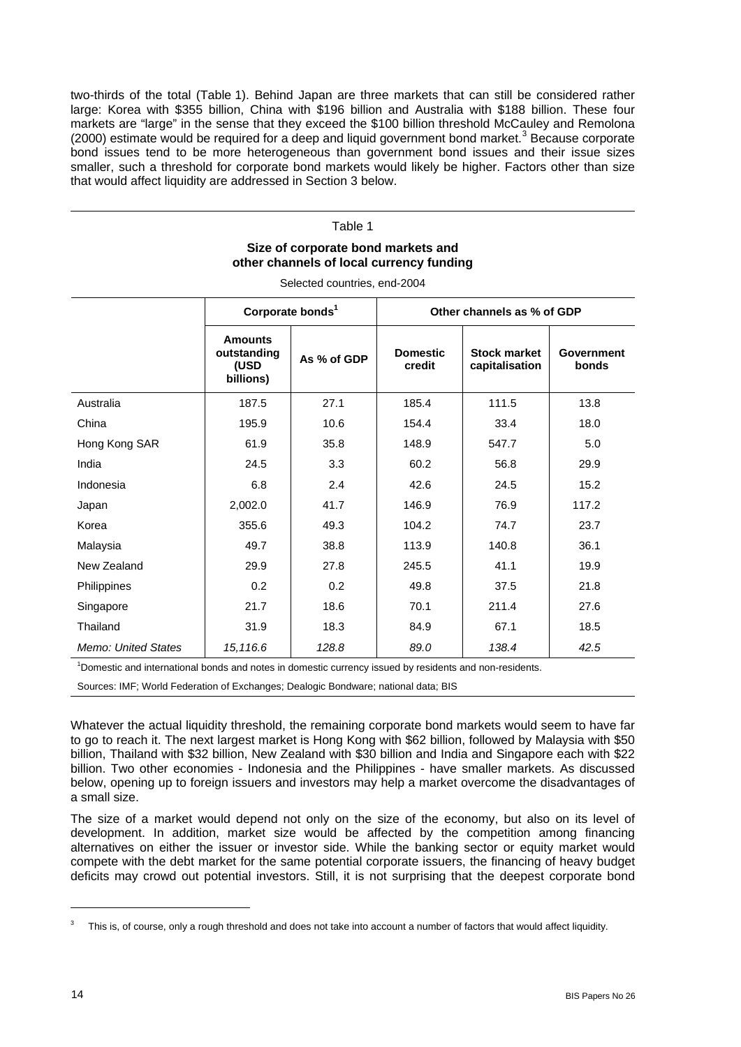two-thirds of the total (Table 1). Behind Japan are three markets that can still be considered rather large: Korea with \$355 billion, China with \$196 billion and Australia with \$188 billion. These four markets are "large" in the sense that they exceed the \$100 billion threshold McCauley and Remolona  $(2000)$  estimate would be required for a deep and liquid government bond market.<sup>[3](#page-1-0)</sup> Because corporate bond issues tend to be more heterogeneous than government bond issues and their issue sizes smaller, such a threshold for corporate bond markets would likely be higher. Factors other than size that would affect liquidity are addressed in Section 3 below.

### Table 1

### **Size of corporate bond markets and other channels of local currency funding**

Selected countries, end-2004

|                            | Corporate bonds <sup>1</sup>                       |             | Other channels as % of GDP |                                       |                     |  |
|----------------------------|----------------------------------------------------|-------------|----------------------------|---------------------------------------|---------------------|--|
|                            | <b>Amounts</b><br>outstanding<br>(USD<br>billions) | As % of GDP | <b>Domestic</b><br>credit  | <b>Stock market</b><br>capitalisation | Government<br>bonds |  |
| Australia                  | 187.5                                              | 27.1        | 185.4                      | 111.5                                 | 13.8                |  |
| China                      | 195.9                                              | 10.6        | 154.4                      | 33.4                                  | 18.0                |  |
| Hong Kong SAR              | 61.9                                               | 35.8        | 148.9                      | 547.7                                 | 5.0                 |  |
| India                      | 24.5                                               | 3.3         | 60.2                       | 56.8                                  | 29.9                |  |
| Indonesia                  | 6.8                                                | 2.4         | 42.6                       | 24.5                                  | 15.2                |  |
| Japan                      | 2,002.0                                            | 41.7        | 146.9                      | 76.9                                  | 117.2               |  |
| Korea                      | 355.6                                              | 49.3        | 104.2                      | 74.7                                  | 23.7                |  |
| Malaysia                   | 49.7                                               | 38.8        | 113.9                      | 140.8                                 | 36.1                |  |
| New Zealand                | 29.9                                               | 27.8        | 245.5                      | 41.1                                  | 19.9                |  |
| Philippines                | 0.2                                                | 0.2         | 49.8                       | 37.5                                  | 21.8                |  |
| Singapore                  | 21.7                                               | 18.6        | 70.1                       | 211.4                                 | 27.6                |  |
| Thailand                   | 31.9                                               | 18.3        | 84.9                       | 67.1                                  | 18.5                |  |
| <b>Memo: United States</b> | 15,116.6                                           | 128.8       | 89.0                       | 138.4                                 | 42.5                |  |

1 Domestic and international bonds and notes in domestic currency issued by residents and non-residents.

Sources: IMF; World Federation of Exchanges; Dealogic Bondware; national data; BIS

Whatever the actual liquidity threshold, the remaining corporate bond markets would seem to have far to go to reach it. The next largest market is Hong Kong with \$62 billion, followed by Malaysia with \$50 billion, Thailand with \$32 billion, New Zealand with \$30 billion and India and Singapore each with \$22 billion. Two other economies - Indonesia and the Philippines - have smaller markets. As discussed below, opening up to foreign issuers and investors may help a market overcome the disadvantages of a small size.

The size of a market would depend not only on the size of the economy, but also on its level of development. In addition, market size would be affected by the competition among financing alternatives on either the issuer or investor side. While the banking sector or equity market would compete with the debt market for the same potential corporate issuers, the financing of heavy budget deficits may crowd out potential investors. Still, it is not surprising that the deepest corporate bond

l

<span id="page-1-0"></span><sup>3</sup> This is, of course, only a rough threshold and does not take into account a number of factors that would affect liquidity.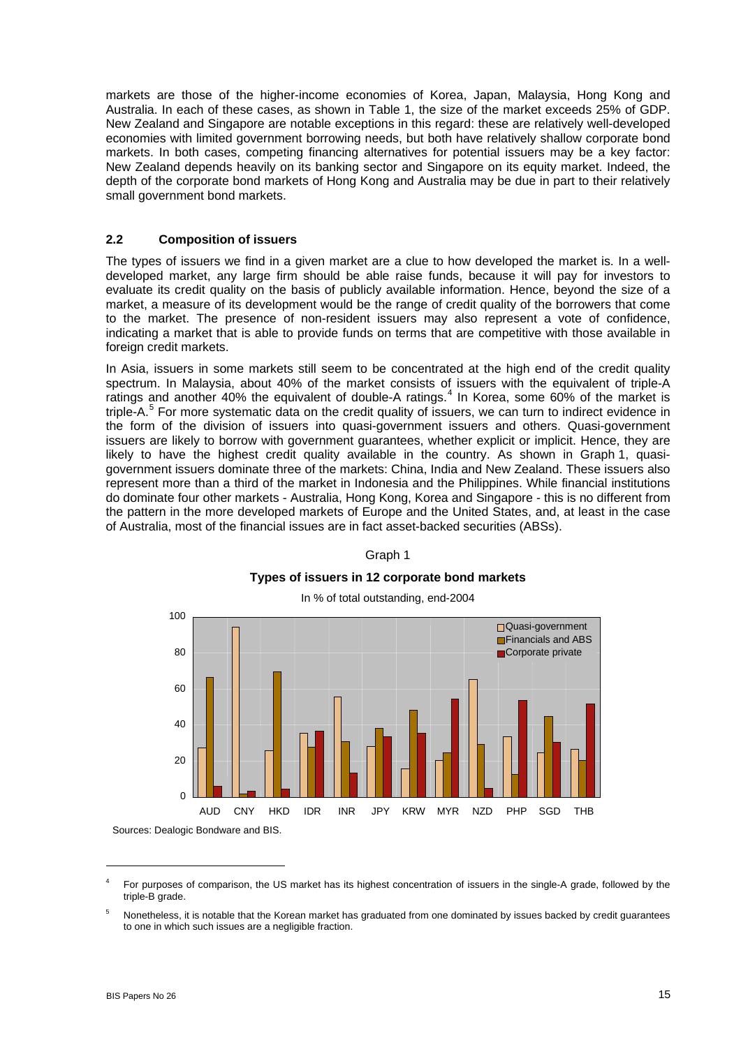markets are those of the higher-income economies of Korea, Japan, Malaysia, Hong Kong and Australia. In each of these cases, as shown in Table 1, the size of the market exceeds 25% of GDP. New Zealand and Singapore are notable exceptions in this regard: these are relatively well-developed economies with limited government borrowing needs, but both have relatively shallow corporate bond markets. In both cases, competing financing alternatives for potential issuers may be a key factor: New Zealand depends heavily on its banking sector and Singapore on its equity market. Indeed, the depth of the corporate bond markets of Hong Kong and Australia may be due in part to their relatively small government bond markets.

### **2.2 Composition of issuers**

The types of issuers we find in a given market are a clue to how developed the market is. In a welldeveloped market, any large firm should be able raise funds, because it will pay for investors to evaluate its credit quality on the basis of publicly available information. Hence, beyond the size of a market, a measure of its development would be the range of credit quality of the borrowers that come to the market. The presence of non-resident issuers may also represent a vote of confidence, indicating a market that is able to provide funds on terms that are competitive with those available in foreign credit markets.

In Asia, issuers in some markets still seem to be concentrated at the high end of the credit quality spectrum. In Malaysia, about 40% of the market consists of issuers with the equivalent of triple-A ratings and another [4](#page-2-0)0% the equivalent of double-A ratings.<sup>4</sup> In Korea, some 60% of the market is triple-A.<sup>[5](#page-2-1)</sup> For more systematic data on the credit quality of issuers, we can turn to indirect evidence in the form of the division of issuers into quasi-government issuers and others. Quasi-government issuers are likely to borrow with government guarantees, whether explicit or implicit. Hence, they are likely to have the highest credit quality available in the country. As shown in Graph 1, quasigovernment issuers dominate three of the markets: China, India and New Zealand. These issuers also represent more than a third of the market in Indonesia and the Philippines. While financial institutions do dominate four other markets - Australia, Hong Kong, Korea and Singapore - this is no different from the pattern in the more developed markets of Europe and the United States, and, at least in the case of Australia, most of the financial issues are in fact asset-backed securities (ABSs).



#### Graph 1

Sources: Dealogic Bondware and BIS.

1

**Types of issuers in 12 corporate bond markets** 

<span id="page-2-0"></span><sup>4</sup> For purposes of comparison, the US market has its highest concentration of issuers in the single-A grade, followed by the triple-B grade.

<span id="page-2-1"></span><sup>5</sup> Nonetheless, it is notable that the Korean market has graduated from one dominated by issues backed by credit guarantees to one in which such issues are a negligible fraction.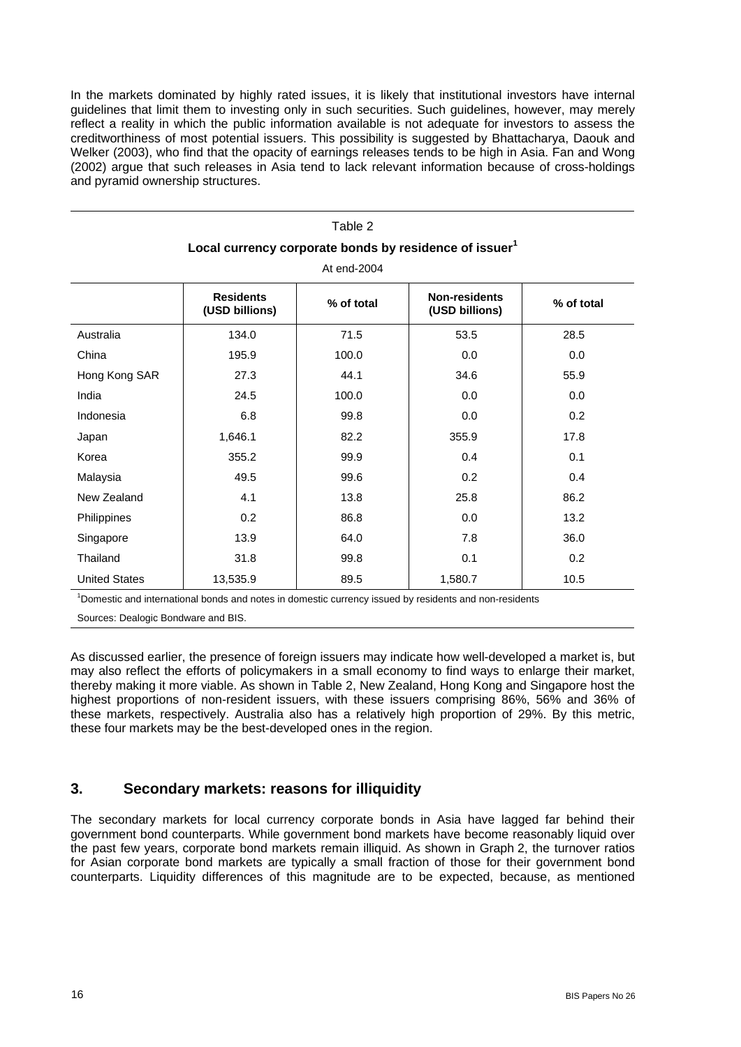In the markets dominated by highly rated issues, it is likely that institutional investors have internal guidelines that limit them to investing only in such securities. Such guidelines, however, may merely reflect a reality in which the public information available is not adequate for investors to assess the creditworthiness of most potential issuers. This possibility is suggested by Bhattacharya, Daouk and Welker (2003), who find that the opacity of earnings releases tends to be high in Asia. Fan and Wong (2002) argue that such releases in Asia tend to lack relevant information because of cross-holdings and pyramid ownership structures.

# Table 2 **Local currency corporate bonds by residence of issuer<sup>1</sup>** At end-2004 **Residents (USD billions) % of total Non-residents (USD billions) % of total**  Australia 134.0 71.5 53.5 28.5 China 195.9 100.0 0.0 0.0 Hong Kong SAR  $\begin{array}{|c|c|c|c|c|c|c|c|} \hline \end{array}$  44.1  $\begin{array}{|c|c|c|c|c|c|} \hline \end{array}$  34.6  $\begin{array}{|c|c|c|c|c|c|} \hline \end{array}$  55.9 India 24.5 100.0 0.0 0.0 Indonesia 6.8 99.8 0.0 0.2 Japan 1,646.1 82.2 355.9 17.8 Korea 355.2 99.9 0.4 0.1 Malaysia 49.5 99.6 0.2 0.4 New Zealand  $\begin{array}{|c|c|c|c|c|c|c|c|c|} \hline \text{New Zealand} & 4.1 & 13.8 & 25.8 & 86.2 \\ \hline \end{array}$ Philippines | 0.2 | 86.8 | 0.0 | 13.2 Singapore | 13.9 | 64.0 | 7.8 | 36.0 Thailand 31.8 99.8 0.1 0.2 United States  $\begin{array}{|c|c|c|c|c|c|c|c|c|} \hline \end{array}$  13,535.9  $\begin{array}{|c|c|c|c|c|c|c|} \hline \end{array}$  89.5  $\begin{array}{|c|c|c|c|c|c|} \hline \end{array}$  10.5 10.5 1 Domestic and international bonds and notes in domestic currency issued by residents and non-residents

Sources: Dealogic Bondware and BIS.

As discussed earlier, the presence of foreign issuers may indicate how well-developed a market is, but may also reflect the efforts of policymakers in a small economy to find ways to enlarge their market, thereby making it more viable. As shown in Table 2, New Zealand, Hong Kong and Singapore host the highest proportions of non-resident issuers, with these issuers comprising 86%, 56% and 36% of these markets, respectively. Australia also has a relatively high proportion of 29%. By this metric, these four markets may be the best-developed ones in the region.

# **3. Secondary markets: reasons for illiquidity**

The secondary markets for local currency corporate bonds in Asia have lagged far behind their government bond counterparts. While government bond markets have become reasonably liquid over the past few years, corporate bond markets remain illiquid. As shown in Graph 2, the turnover ratios for Asian corporate bond markets are typically a small fraction of those for their government bond counterparts. Liquidity differences of this magnitude are to be expected, because, as mentioned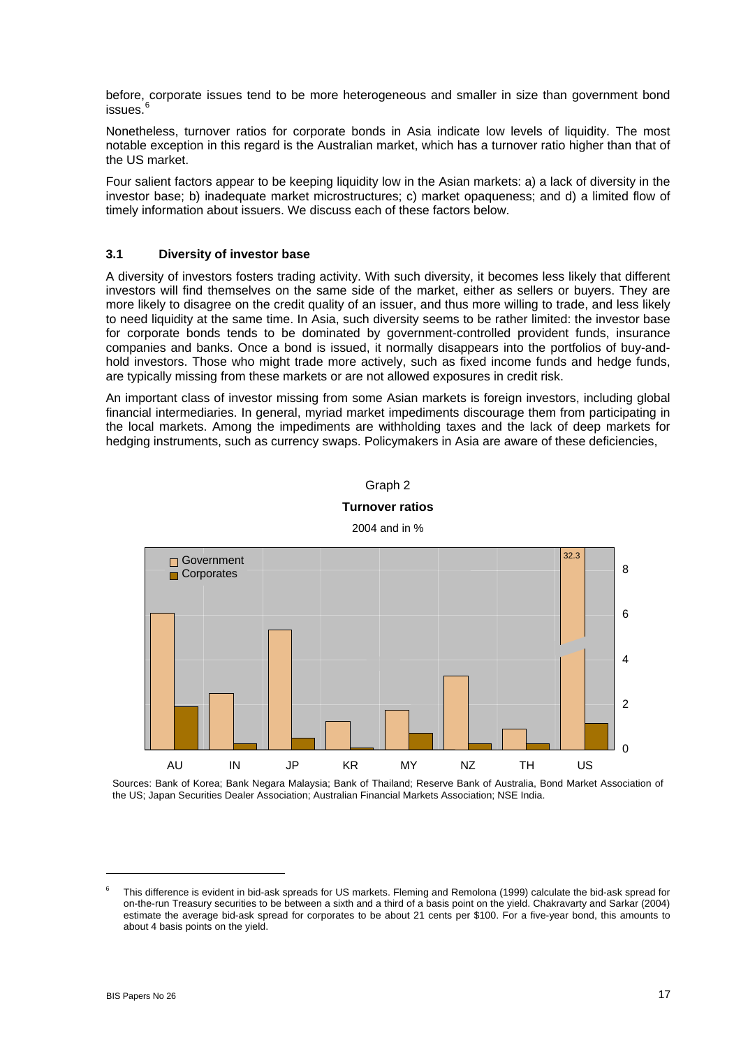before, corporate issues tend to be more heterogeneous and smaller in size than government bond issues.<sup>[6](#page-4-0)</sup>

Nonetheless, turnover ratios for corporate bonds in Asia indicate low levels of liquidity. The most notable exception in this regard is the Australian market, which has a turnover ratio higher than that of the US market.

Four salient factors appear to be keeping liquidity low in the Asian markets: a) a lack of diversity in the investor base; b) inadequate market microstructures; c) market opaqueness; and d) a limited flow of timely information about issuers. We discuss each of these factors below.

### **3.1 Diversity of investor base**

A diversity of investors fosters trading activity. With such diversity, it becomes less likely that different investors will find themselves on the same side of the market, either as sellers or buyers. They are more likely to disagree on the credit quality of an issuer, and thus more willing to trade, and less likely to need liquidity at the same time. In Asia, such diversity seems to be rather limited: the investor base for corporate bonds tends to be dominated by government-controlled provident funds, insurance companies and banks. Once a bond is issued, it normally disappears into the portfolios of buy-andhold investors. Those who might trade more actively, such as fixed income funds and hedge funds, are typically missing from these markets or are not allowed exposures in credit risk.

An important class of investor missing from some Asian markets is foreign investors, including global financial intermediaries. In general, myriad market impediments discourage them from participating in the local markets. Among the impediments are withholding taxes and the lack of deep markets for hedging instruments, such as currency swaps. Policymakers in Asia are aware of these deficiencies,



**Turnover ratios**  2004 and in %

Graph 2

Sources: Bank of Korea; Bank Negara Malaysia; Bank of Thailand; Reserve Bank of Australia, Bond Market Association of the US; Japan Securities Dealer Association; Australian Financial Markets Association; NSE India.

1

<span id="page-4-0"></span><sup>6</sup> This difference is evident in bid-ask spreads for US markets. Fleming and Remolona (1999) calculate the bid-ask spread for on-the-run Treasury securities to be between a sixth and a third of a basis point on the yield. Chakravarty and Sarkar (2004) estimate the average bid-ask spread for corporates to be about 21 cents per \$100. For a five-year bond, this amounts to about 4 basis points on the yield.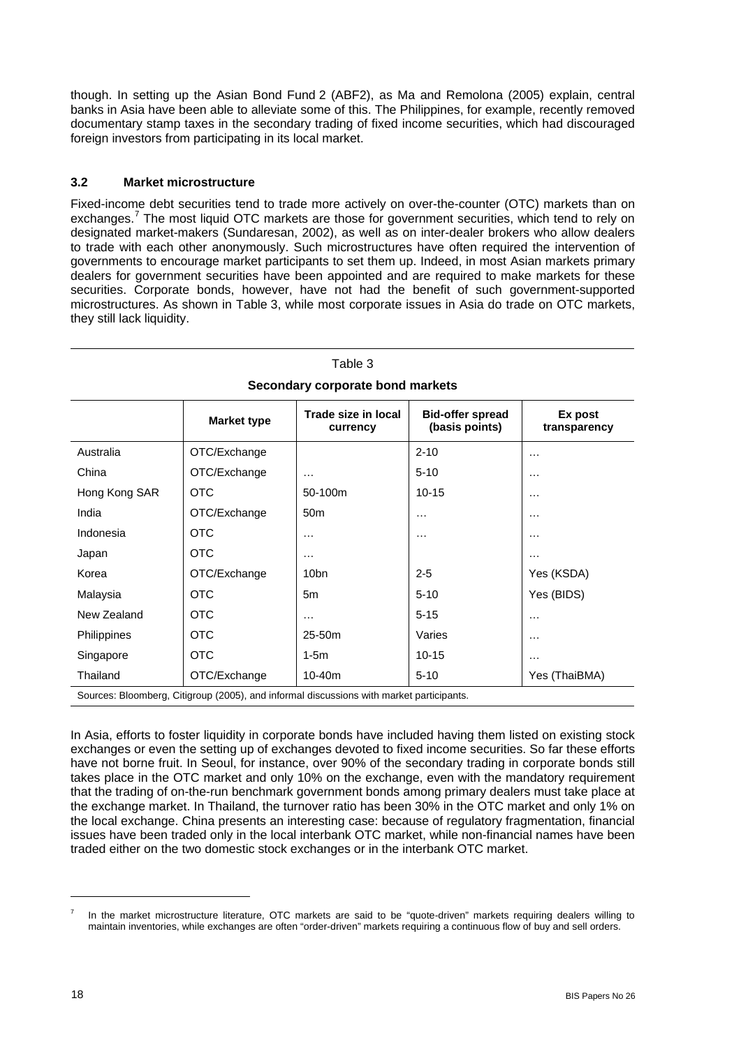though. In setting up the Asian Bond Fund 2 (ABF2), as Ma and Remolona (2005) explain, central banks in Asia have been able to alleviate some of this. The Philippines, for example, recently removed documentary stamp taxes in the secondary trading of fixed income securities, which had discouraged foreign investors from participating in its local market.

### **3.2 Market microstructure**

Fixed-income debt securities tend to trade more actively on over-the-counter (OTC) markets than on exchanges.<sup>[7](#page-5-0)</sup> The most liquid OTC markets are those for government securities, which tend to rely on designated market-makers (Sundaresan, 2002), as well as on inter-dealer brokers who allow dealers to trade with each other anonymously. Such microstructures have often required the intervention of governments to encourage market participants to set them up. Indeed, in most Asian markets primary dealers for government securities have been appointed and are required to make markets for these securities. Corporate bonds, however, have not had the benefit of such government-supported microstructures. As shown in Table 3, while most corporate issues in Asia do trade on OTC markets, they still lack liquidity.

| Secondary corporate bond markets |                                                                                          |                                 |                                           |                         |  |  |
|----------------------------------|------------------------------------------------------------------------------------------|---------------------------------|-------------------------------------------|-------------------------|--|--|
|                                  | <b>Market type</b>                                                                       | Trade size in local<br>currency | <b>Bid-offer spread</b><br>(basis points) | Ex post<br>transparency |  |  |
| Australia                        | OTC/Exchange                                                                             |                                 | $2 - 10$                                  | $\cdots$                |  |  |
| China                            | OTC/Exchange                                                                             | $\cdots$                        | $5 - 10$                                  | $\cdots$                |  |  |
| Hong Kong SAR                    | <b>OTC</b>                                                                               | 50-100m                         | $10 - 15$                                 | $\cdots$                |  |  |
| India                            | OTC/Exchange                                                                             | 50 <sub>m</sub>                 | $\cdots$                                  | $\cdots$                |  |  |
| Indonesia                        | <b>OTC</b>                                                                               | .                               | $\cdots$                                  | $\cdots$                |  |  |
| Japan                            | <b>OTC</b>                                                                               | $\cdots$                        |                                           | $\cdots$                |  |  |
| Korea                            | OTC/Exchange                                                                             | 10 <sub>bn</sub>                | $2 - 5$                                   | Yes (KSDA)              |  |  |
| Malaysia                         | <b>OTC</b>                                                                               | 5 <sub>m</sub>                  | $5 - 10$                                  | Yes (BIDS)              |  |  |
| New Zealand                      | <b>OTC</b>                                                                               |                                 | $5 - 15$                                  | $\cdots$                |  |  |
| Philippines                      | <b>OTC</b>                                                                               | 25-50m                          | Varies                                    | $\cdots$                |  |  |
| Singapore                        | <b>OTC</b>                                                                               | $1-5m$                          | $10 - 15$                                 | $\cdots$                |  |  |
| Thailand                         | OTC/Exchange                                                                             | 10-40m                          | $5 - 10$                                  | Yes (ThaiBMA)           |  |  |
|                                  | Sources: Bloomberg, Citigroup (2005), and informal discussions with market participants. |                                 |                                           |                         |  |  |

| Table 3                          |
|----------------------------------|
| Secondary corporate bond markets |

In Asia, efforts to foster liquidity in corporate bonds have included having them listed on existing stock exchanges or even the setting up of exchanges devoted to fixed income securities. So far these efforts have not borne fruit. In Seoul, for instance, over 90% of the secondary trading in corporate bonds still takes place in the OTC market and only 10% on the exchange, even with the mandatory requirement that the trading of on-the-run benchmark government bonds among primary dealers must take place at the exchange market. In Thailand, the turnover ratio has been 30% in the OTC market and only 1% on the local exchange. China presents an interesting case: because of regulatory fragmentation, financial issues have been traded only in the local interbank OTC market, while non-financial names have been traded either on the two domestic stock exchanges or in the interbank OTC market.

l

<span id="page-5-0"></span><sup>7</sup> In the market microstructure literature, OTC markets are said to be "quote-driven" markets requiring dealers willing to maintain inventories, while exchanges are often "order-driven" markets requiring a continuous flow of buy and sell orders.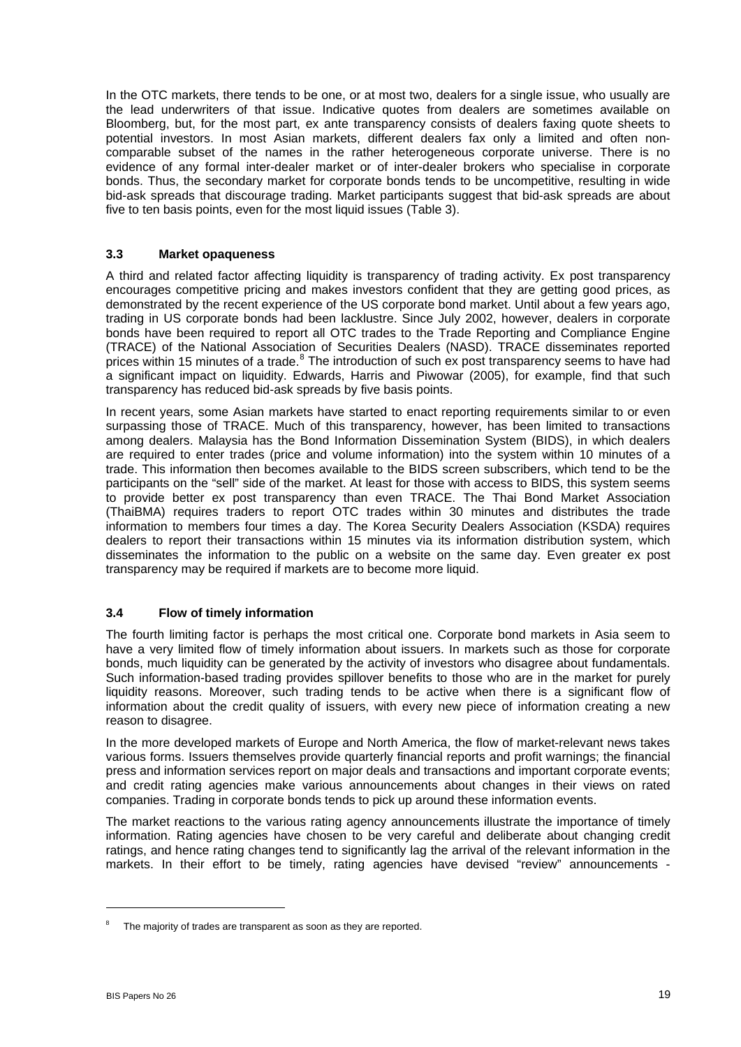In the OTC markets, there tends to be one, or at most two, dealers for a single issue, who usually are the lead underwriters of that issue. Indicative quotes from dealers are sometimes available on Bloomberg, but, for the most part, ex ante transparency consists of dealers faxing quote sheets to potential investors. In most Asian markets, different dealers fax only a limited and often noncomparable subset of the names in the rather heterogeneous corporate universe. There is no evidence of any formal inter-dealer market or of inter-dealer brokers who specialise in corporate bonds. Thus, the secondary market for corporate bonds tends to be uncompetitive, resulting in wide bid-ask spreads that discourage trading. Market participants suggest that bid-ask spreads are about five to ten basis points, even for the most liquid issues (Table 3).

### **3.3 Market opaqueness**

A third and related factor affecting liquidity is transparency of trading activity. Ex post transparency encourages competitive pricing and makes investors confident that they are getting good prices, as demonstrated by the recent experience of the US corporate bond market. Until about a few years ago, trading in US corporate bonds had been lacklustre. Since July 2002, however, dealers in corporate bonds have been required to report all OTC trades to the Trade Reporting and Compliance Engine (TRACE) of the National Association of Securities Dealers (NASD). TRACE disseminates reported prices within 15 minutes of a trade.<sup>[8](#page-6-0)</sup> The introduction of such ex post transparency seems to have had a significant impact on liquidity. Edwards, Harris and Piwowar (2005), for example, find that such transparency has reduced bid-ask spreads by five basis points.

In recent years, some Asian markets have started to enact reporting requirements similar to or even surpassing those of TRACE. Much of this transparency, however, has been limited to transactions among dealers. Malaysia has the Bond Information Dissemination System (BIDS), in which dealers are required to enter trades (price and volume information) into the system within 10 minutes of a trade. This information then becomes available to the BIDS screen subscribers, which tend to be the participants on the "sell" side of the market. At least for those with access to BIDS, this system seems to provide better ex post transparency than even TRACE. The Thai Bond Market Association (ThaiBMA) requires traders to report OTC trades within 30 minutes and distributes the trade information to members four times a day. The Korea Security Dealers Association (KSDA) requires dealers to report their transactions within 15 minutes via its information distribution system, which disseminates the information to the public on a website on the same day. Even greater ex post transparency may be required if markets are to become more liquid.

### **3.4 Flow of timely information**

The fourth limiting factor is perhaps the most critical one. Corporate bond markets in Asia seem to have a very limited flow of timely information about issuers. In markets such as those for corporate bonds, much liquidity can be generated by the activity of investors who disagree about fundamentals. Such information-based trading provides spillover benefits to those who are in the market for purely liquidity reasons. Moreover, such trading tends to be active when there is a significant flow of information about the credit quality of issuers, with every new piece of information creating a new reason to disagree.

In the more developed markets of Europe and North America, the flow of market-relevant news takes various forms. Issuers themselves provide quarterly financial reports and profit warnings; the financial press and information services report on major deals and transactions and important corporate events; and credit rating agencies make various announcements about changes in their views on rated companies. Trading in corporate bonds tends to pick up around these information events.

The market reactions to the various rating agency announcements illustrate the importance of timely information. Rating agencies have chosen to be very careful and deliberate about changing credit ratings, and hence rating changes tend to significantly lag the arrival of the relevant information in the markets. In their effort to be timely, rating agencies have devised "review" announcements -

-

<span id="page-6-0"></span><sup>8</sup> The majority of trades are transparent as soon as they are reported.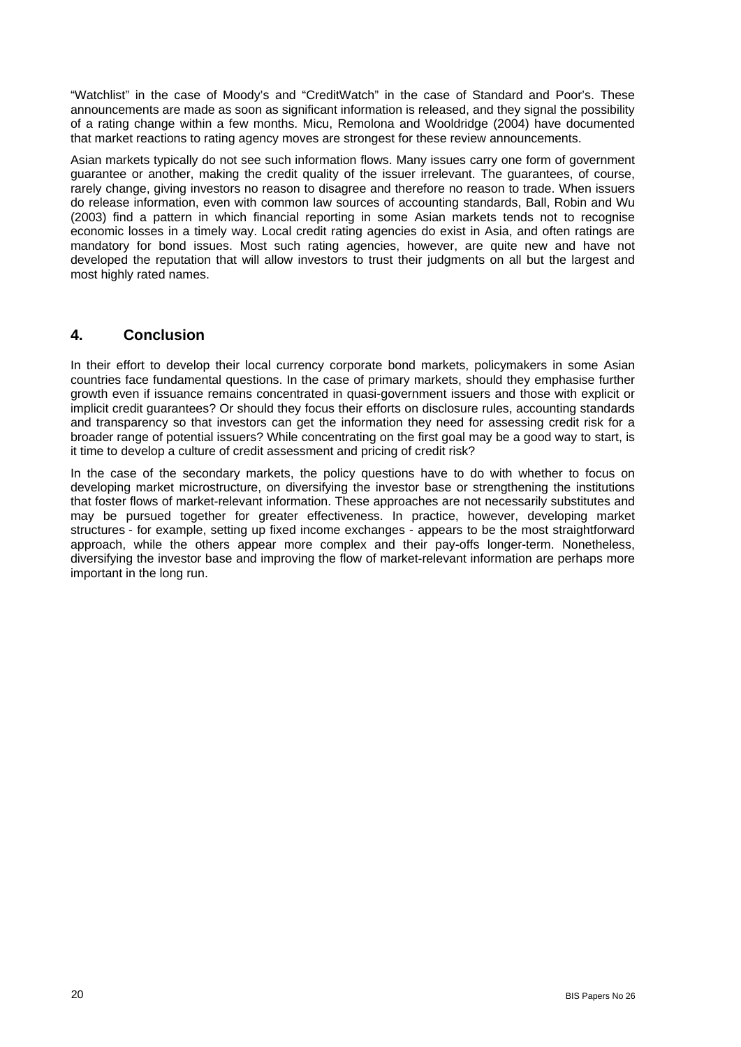"Watchlist" in the case of Moody's and "CreditWatch" in the case of Standard and Poor's. These announcements are made as soon as significant information is released, and they signal the possibility of a rating change within a few months. Micu, Remolona and Wooldridge (2004) have documented that market reactions to rating agency moves are strongest for these review announcements.

Asian markets typically do not see such information flows. Many issues carry one form of government guarantee or another, making the credit quality of the issuer irrelevant. The guarantees, of course, rarely change, giving investors no reason to disagree and therefore no reason to trade. When issuers do release information, even with common law sources of accounting standards, Ball, Robin and Wu (2003) find a pattern in which financial reporting in some Asian markets tends not to recognise economic losses in a timely way. Local credit rating agencies do exist in Asia, and often ratings are mandatory for bond issues. Most such rating agencies, however, are quite new and have not developed the reputation that will allow investors to trust their judgments on all but the largest and most highly rated names.

# **4. Conclusion**

In their effort to develop their local currency corporate bond markets, policymakers in some Asian countries face fundamental questions. In the case of primary markets, should they emphasise further growth even if issuance remains concentrated in quasi-government issuers and those with explicit or implicit credit guarantees? Or should they focus their efforts on disclosure rules, accounting standards and transparency so that investors can get the information they need for assessing credit risk for a broader range of potential issuers? While concentrating on the first goal may be a good way to start, is it time to develop a culture of credit assessment and pricing of credit risk?

In the case of the secondary markets, the policy questions have to do with whether to focus on developing market microstructure, on diversifying the investor base or strengthening the institutions that foster flows of market-relevant information. These approaches are not necessarily substitutes and may be pursued together for greater effectiveness. In practice, however, developing market structures - for example, setting up fixed income exchanges - appears to be the most straightforward approach, while the others appear more complex and their pay-offs longer-term. Nonetheless, diversifying the investor base and improving the flow of market-relevant information are perhaps more important in the long run.